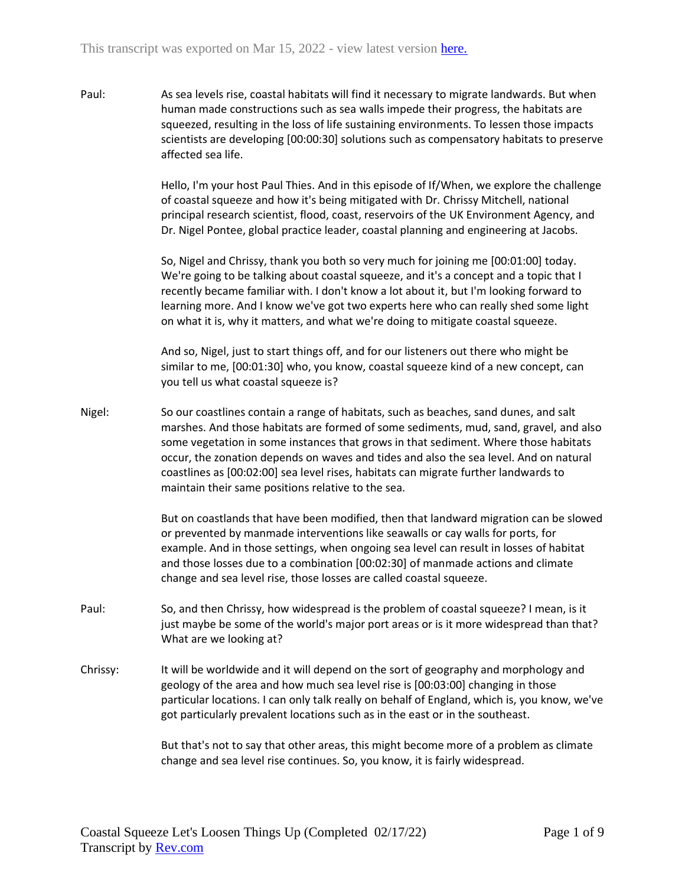Paul: As sea levels rise, coastal habitats will find it necessary to migrate landwards. But when human made constructions such as sea walls impede their progress, the habitats are squeezed, resulting in the loss of life sustaining environments. To lessen those impacts scientists are developing [00:00:30] solutions such as compensatory habitats to preserve affected sea life.

> Hello, I'm your host Paul Thies. And in this episode of If/When, we explore the challenge of coastal squeeze and how it's being mitigated with Dr. Chrissy Mitchell, national principal research scientist, flood, coast, reservoirs of the UK Environment Agency, and Dr. Nigel Pontee, global practice leader, coastal planning and engineering at Jacobs.

So, Nigel and Chrissy, thank you both so very much for joining me [00:01:00] today. We're going to be talking about coastal squeeze, and it's a concept and a topic that I recently became familiar with. I don't know a lot about it, but I'm looking forward to learning more. And I know we've got two experts here who can really shed some light on what it is, why it matters, and what we're doing to mitigate coastal squeeze.

And so, Nigel, just to start things off, and for our listeners out there who might be similar to me, [00:01:30] who, you know, coastal squeeze kind of a new concept, can you tell us what coastal squeeze is?

Nigel: So our coastlines contain a range of habitats, such as beaches, sand dunes, and salt marshes. And those habitats are formed of some sediments, mud, sand, gravel, and also some vegetation in some instances that grows in that sediment. Where those habitats occur, the zonation depends on waves and tides and also the sea level. And on natural coastlines as [00:02:00] sea level rises, habitats can migrate further landwards to maintain their same positions relative to the sea.

> But on coastlands that have been modified, then that landward migration can be slowed or prevented by manmade interventions like seawalls or cay walls for ports, for example. And in those settings, when ongoing sea level can result in losses of habitat and those losses due to a combination [00:02:30] of manmade actions and climate change and sea level rise, those losses are called coastal squeeze.

- Paul: So, and then Chrissy, how widespread is the problem of coastal squeeze? I mean, is it just maybe be some of the world's major port areas or is it more widespread than that? What are we looking at?
- Chrissy: It will be worldwide and it will depend on the sort of geography and morphology and geology of the area and how much sea level rise is [00:03:00] changing in those particular locations. I can only talk really on behalf of England, which is, you know, we've got particularly prevalent locations such as in the east or in the southeast.

But that's not to say that other areas, this might become more of a problem as climate change and sea level rise continues. So, you know, it is fairly widespread.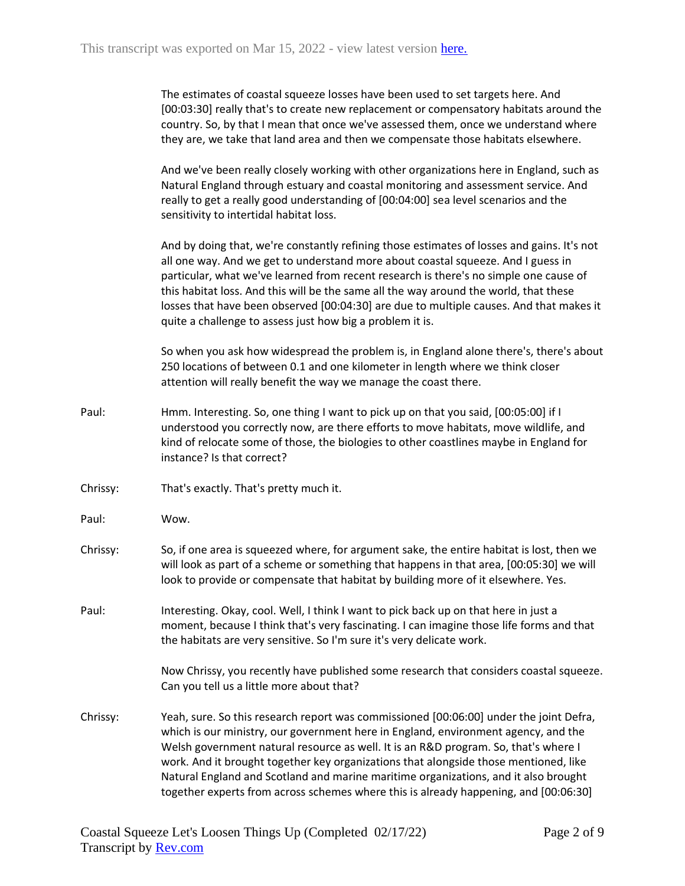The estimates of coastal squeeze losses have been used to set targets here. And [00:03:30] really that's to create new replacement or compensatory habitats around the country. So, by that I mean that once we've assessed them, once we understand where they are, we take that land area and then we compensate those habitats elsewhere.

And we've been really closely working with other organizations here in England, such as Natural England through estuary and coastal monitoring and assessment service. And really to get a really good understanding of [00:04:00] sea level scenarios and the sensitivity to intertidal habitat loss.

And by doing that, we're constantly refining those estimates of losses and gains. It's not all one way. And we get to understand more about coastal squeeze. And I guess in particular, what we've learned from recent research is there's no simple one cause of this habitat loss. And this will be the same all the way around the world, that these losses that have been observed [00:04:30] are due to multiple causes. And that makes it quite a challenge to assess just how big a problem it is.

So when you ask how widespread the problem is, in England alone there's, there's about 250 locations of between 0.1 and one kilometer in length where we think closer attention will really benefit the way we manage the coast there.

- Paul: Hmm. Interesting. So, one thing I want to pick up on that you said, [00:05:00] if I understood you correctly now, are there efforts to move habitats, move wildlife, and kind of relocate some of those, the biologies to other coastlines maybe in England for instance? Is that correct?
- Chrissy: That's exactly. That's pretty much it.
- Paul: Wow.
- Chrissy: So, if one area is squeezed where, for argument sake, the entire habitat is lost, then we will look as part of a scheme or something that happens in that area, [00:05:30] we will look to provide or compensate that habitat by building more of it elsewhere. Yes.
- Paul: Interesting. Okay, cool. Well, I think I want to pick back up on that here in just a moment, because I think that's very fascinating. I can imagine those life forms and that the habitats are very sensitive. So I'm sure it's very delicate work.

Now Chrissy, you recently have published some research that considers coastal squeeze. Can you tell us a little more about that?

Chrissy: Yeah, sure. So this research report was commissioned [00:06:00] under the joint Defra, which is our ministry, our government here in England, environment agency, and the Welsh government natural resource as well. It is an R&D program. So, that's where I work. And it brought together key organizations that alongside those mentioned, like Natural England and Scotland and marine maritime organizations, and it also brought together experts from across schemes where this is already happening, and [00:06:30]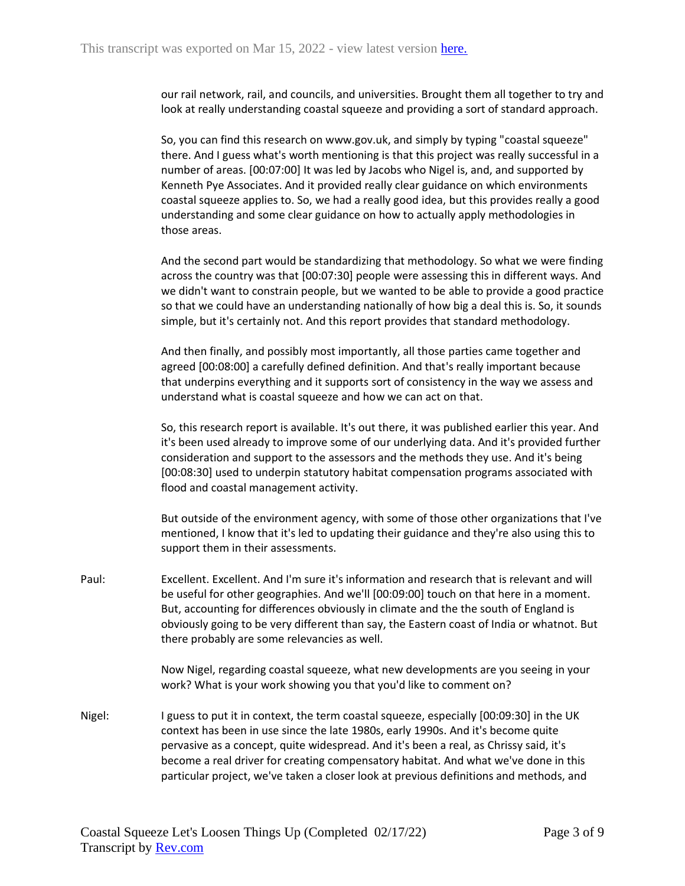our rail network, rail, and councils, and universities. Brought them all together to try and look at really understanding coastal squeeze and providing a sort of standard approach.

So, you can find this research on www.gov.uk, and simply by typing "coastal squeeze" there. And I guess what's worth mentioning is that this project was really successful in a number of areas. [00:07:00] It was led by Jacobs who Nigel is, and, and supported by Kenneth Pye Associates. And it provided really clear guidance on which environments coastal squeeze applies to. So, we had a really good idea, but this provides really a good understanding and some clear guidance on how to actually apply methodologies in those areas.

And the second part would be standardizing that methodology. So what we were finding across the country was that [00:07:30] people were assessing this in different ways. And we didn't want to constrain people, but we wanted to be able to provide a good practice so that we could have an understanding nationally of how big a deal this is. So, it sounds simple, but it's certainly not. And this report provides that standard methodology.

And then finally, and possibly most importantly, all those parties came together and agreed [00:08:00] a carefully defined definition. And that's really important because that underpins everything and it supports sort of consistency in the way we assess and understand what is coastal squeeze and how we can act on that.

So, this research report is available. It's out there, it was published earlier this year. And it's been used already to improve some of our underlying data. And it's provided further consideration and support to the assessors and the methods they use. And it's being [00:08:30] used to underpin statutory habitat compensation programs associated with flood and coastal management activity.

But outside of the environment agency, with some of those other organizations that I've mentioned, I know that it's led to updating their guidance and they're also using this to support them in their assessments.

Paul: Excellent. Excellent. And I'm sure it's information and research that is relevant and will be useful for other geographies. And we'll [00:09:00] touch on that here in a moment. But, accounting for differences obviously in climate and the the south of England is obviously going to be very different than say, the Eastern coast of India or whatnot. But there probably are some relevancies as well.

> Now Nigel, regarding coastal squeeze, what new developments are you seeing in your work? What is your work showing you that you'd like to comment on?

Nigel: I guess to put it in context, the term coastal squeeze, especially [00:09:30] in the UK context has been in use since the late 1980s, early 1990s. And it's become quite pervasive as a concept, quite widespread. And it's been a real, as Chrissy said, it's become a real driver for creating compensatory habitat. And what we've done in this particular project, we've taken a closer look at previous definitions and methods, and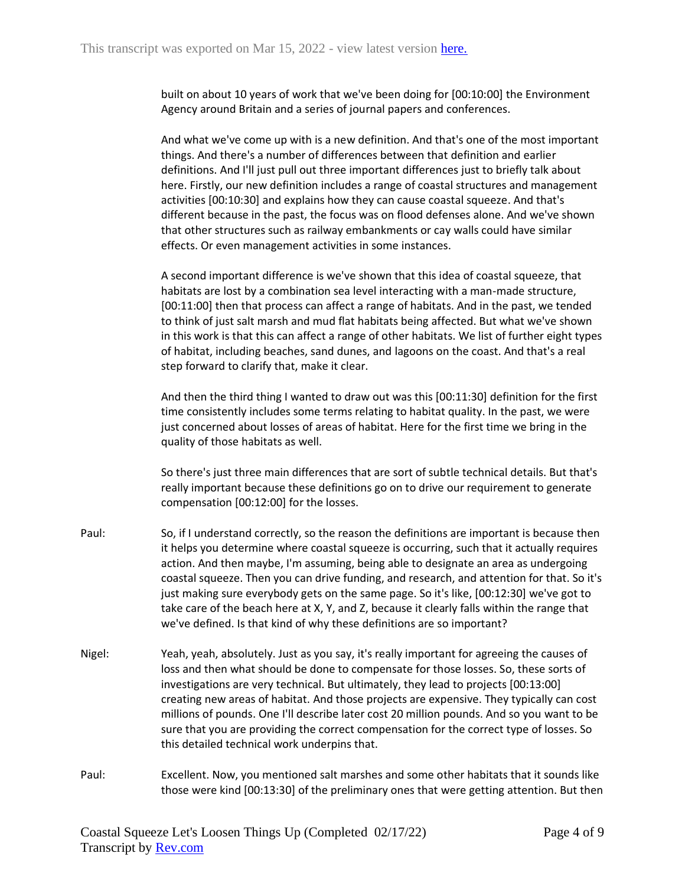built on about 10 years of work that we've been doing for [00:10:00] the Environment Agency around Britain and a series of journal papers and conferences.

And what we've come up with is a new definition. And that's one of the most important things. And there's a number of differences between that definition and earlier definitions. And I'll just pull out three important differences just to briefly talk about here. Firstly, our new definition includes a range of coastal structures and management activities [00:10:30] and explains how they can cause coastal squeeze. And that's different because in the past, the focus was on flood defenses alone. And we've shown that other structures such as railway embankments or cay walls could have similar effects. Or even management activities in some instances.

A second important difference is we've shown that this idea of coastal squeeze, that habitats are lost by a combination sea level interacting with a man-made structure, [00:11:00] then that process can affect a range of habitats. And in the past, we tended to think of just salt marsh and mud flat habitats being affected. But what we've shown in this work is that this can affect a range of other habitats. We list of further eight types of habitat, including beaches, sand dunes, and lagoons on the coast. And that's a real step forward to clarify that, make it clear.

And then the third thing I wanted to draw out was this [00:11:30] definition for the first time consistently includes some terms relating to habitat quality. In the past, we were just concerned about losses of areas of habitat. Here for the first time we bring in the quality of those habitats as well.

So there's just three main differences that are sort of subtle technical details. But that's really important because these definitions go on to drive our requirement to generate compensation [00:12:00] for the losses.

- Paul: So, if I understand correctly, so the reason the definitions are important is because then it helps you determine where coastal squeeze is occurring, such that it actually requires action. And then maybe, I'm assuming, being able to designate an area as undergoing coastal squeeze. Then you can drive funding, and research, and attention for that. So it's just making sure everybody gets on the same page. So it's like, [00:12:30] we've got to take care of the beach here at X, Y, and Z, because it clearly falls within the range that we've defined. Is that kind of why these definitions are so important?
- Nigel: Yeah, yeah, absolutely. Just as you say, it's really important for agreeing the causes of loss and then what should be done to compensate for those losses. So, these sorts of investigations are very technical. But ultimately, they lead to projects [00:13:00] creating new areas of habitat. And those projects are expensive. They typically can cost millions of pounds. One I'll describe later cost 20 million pounds. And so you want to be sure that you are providing the correct compensation for the correct type of losses. So this detailed technical work underpins that.
- Paul: Excellent. Now, you mentioned salt marshes and some other habitats that it sounds like those were kind [00:13:30] of the preliminary ones that were getting attention. But then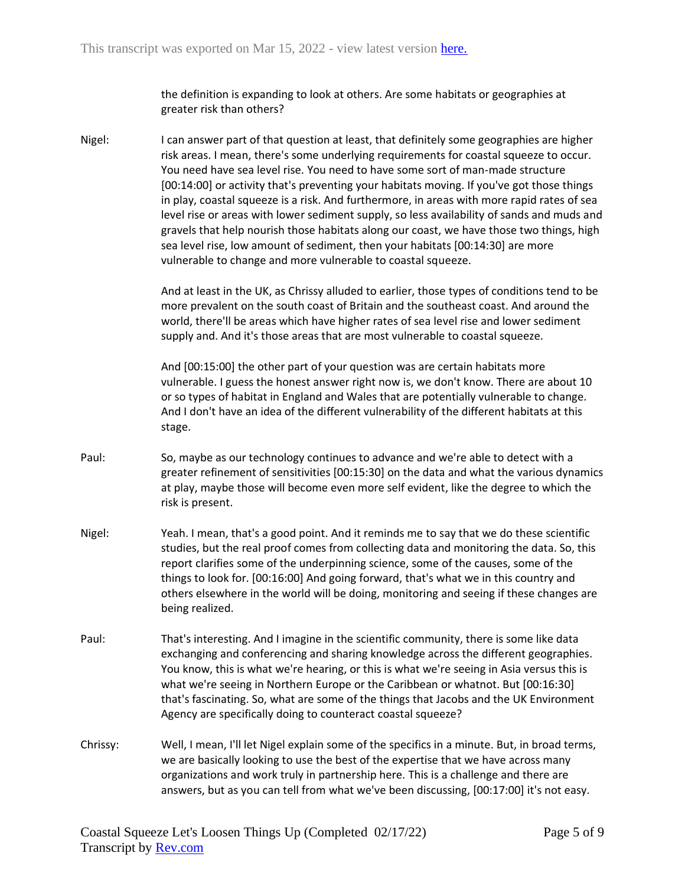the definition is expanding to look at others. Are some habitats or geographies at greater risk than others?

Nigel: I can answer part of that question at least, that definitely some geographies are higher risk areas. I mean, there's some underlying requirements for coastal squeeze to occur. You need have sea level rise. You need to have some sort of man-made structure [00:14:00] or activity that's preventing your habitats moving. If you've got those things in play, coastal squeeze is a risk. And furthermore, in areas with more rapid rates of sea level rise or areas with lower sediment supply, so less availability of sands and muds and gravels that help nourish those habitats along our coast, we have those two things, high sea level rise, low amount of sediment, then your habitats [00:14:30] are more vulnerable to change and more vulnerable to coastal squeeze.

> And at least in the UK, as Chrissy alluded to earlier, those types of conditions tend to be more prevalent on the south coast of Britain and the southeast coast. And around the world, there'll be areas which have higher rates of sea level rise and lower sediment supply and. And it's those areas that are most vulnerable to coastal squeeze.

And [00:15:00] the other part of your question was are certain habitats more vulnerable. I guess the honest answer right now is, we don't know. There are about 10 or so types of habitat in England and Wales that are potentially vulnerable to change. And I don't have an idea of the different vulnerability of the different habitats at this stage.

- Paul: So, maybe as our technology continues to advance and we're able to detect with a greater refinement of sensitivities [00:15:30] on the data and what the various dynamics at play, maybe those will become even more self evident, like the degree to which the risk is present.
- Nigel: Yeah. I mean, that's a good point. And it reminds me to say that we do these scientific studies, but the real proof comes from collecting data and monitoring the data. So, this report clarifies some of the underpinning science, some of the causes, some of the things to look for. [00:16:00] And going forward, that's what we in this country and others elsewhere in the world will be doing, monitoring and seeing if these changes are being realized.
- Paul: That's interesting. And I imagine in the scientific community, there is some like data exchanging and conferencing and sharing knowledge across the different geographies. You know, this is what we're hearing, or this is what we're seeing in Asia versus this is what we're seeing in Northern Europe or the Caribbean or whatnot. But [00:16:30] that's fascinating. So, what are some of the things that Jacobs and the UK Environment Agency are specifically doing to counteract coastal squeeze?
- Chrissy: Well, I mean, I'll let Nigel explain some of the specifics in a minute. But, in broad terms, we are basically looking to use the best of the expertise that we have across many organizations and work truly in partnership here. This is a challenge and there are answers, but as you can tell from what we've been discussing, [00:17:00] it's not easy.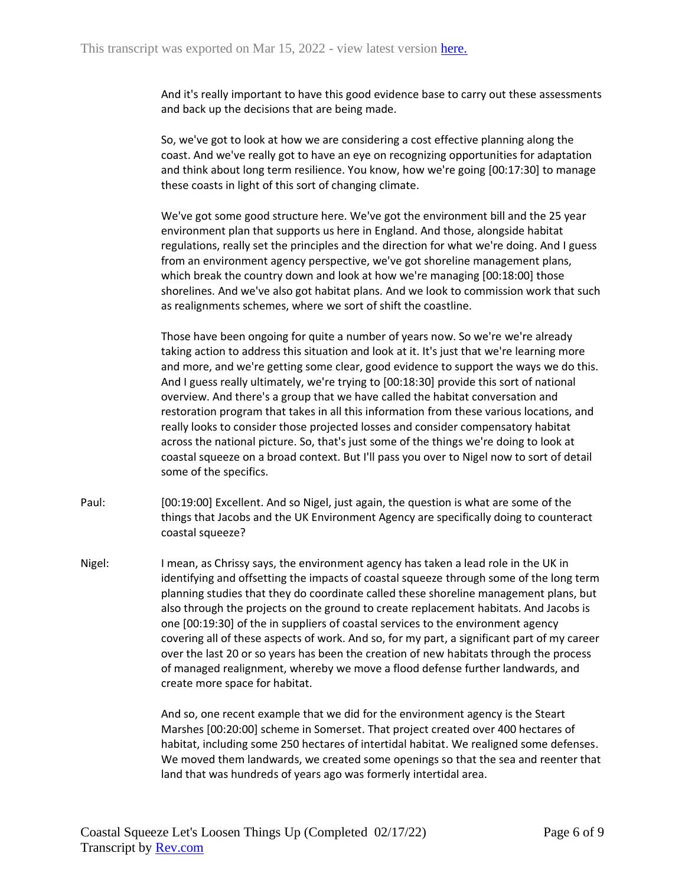And it's really important to have this good evidence base to carry out these assessments and back up the decisions that are being made.

So, we've got to look at how we are considering a cost effective planning along the coast. And we've really got to have an eye on recognizing opportunities for adaptation and think about long term resilience. You know, how we're going [00:17:30] to manage these coasts in light of this sort of changing climate.

We've got some good structure here. We've got the environment bill and the 25 year environment plan that supports us here in England. And those, alongside habitat regulations, really set the principles and the direction for what we're doing. And I guess from an environment agency perspective, we've got shoreline management plans, which break the country down and look at how we're managing [00:18:00] those shorelines. And we've also got habitat plans. And we look to commission work that such as realignments schemes, where we sort of shift the coastline.

Those have been ongoing for quite a number of years now. So we're we're already taking action to address this situation and look at it. It's just that we're learning more and more, and we're getting some clear, good evidence to support the ways we do this. And I guess really ultimately, we're trying to [00:18:30] provide this sort of national overview. And there's a group that we have called the habitat conversation and restoration program that takes in all this information from these various locations, and really looks to consider those projected losses and consider compensatory habitat across the national picture. So, that's just some of the things we're doing to look at coastal squeeze on a broad context. But I'll pass you over to Nigel now to sort of detail some of the specifics.

- Paul: [00:19:00] Excellent. And so Nigel, just again, the question is what are some of the things that Jacobs and the UK Environment Agency are specifically doing to counteract coastal squeeze?
- Nigel: I mean, as Chrissy says, the environment agency has taken a lead role in the UK in identifying and offsetting the impacts of coastal squeeze through some of the long term planning studies that they do coordinate called these shoreline management plans, but also through the projects on the ground to create replacement habitats. And Jacobs is one [00:19:30] of the in suppliers of coastal services to the environment agency covering all of these aspects of work. And so, for my part, a significant part of my career over the last 20 or so years has been the creation of new habitats through the process of managed realignment, whereby we move a flood defense further landwards, and create more space for habitat.

And so, one recent example that we did for the environment agency is the Steart Marshes [00:20:00] scheme in Somerset. That project created over 400 hectares of habitat, including some 250 hectares of intertidal habitat. We realigned some defenses. We moved them landwards, we created some openings so that the sea and reenter that land that was hundreds of years ago was formerly intertidal area.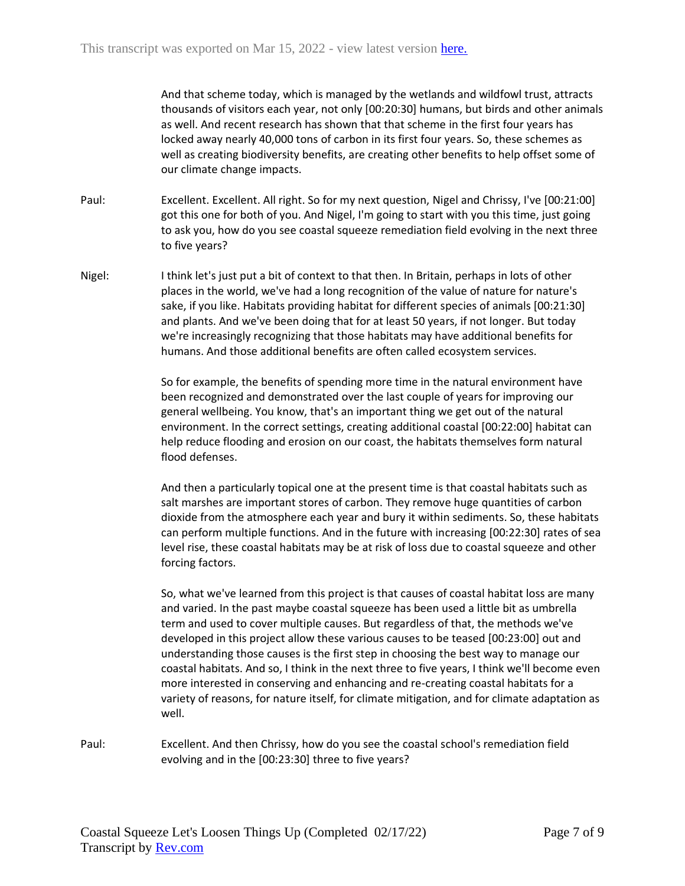And that scheme today, which is managed by the wetlands and wildfowl trust, attracts thousands of visitors each year, not only [00:20:30] humans, but birds and other animals as well. And recent research has shown that that scheme in the first four years has locked away nearly 40,000 tons of carbon in its first four years. So, these schemes as well as creating biodiversity benefits, are creating other benefits to help offset some of our climate change impacts.

- Paul: Excellent. Excellent. All right. So for my next question, Nigel and Chrissy, I've [00:21:00] got this one for both of you. And Nigel, I'm going to start with you this time, just going to ask you, how do you see coastal squeeze remediation field evolving in the next three to five years?
- Nigel: I think let's just put a bit of context to that then. In Britain, perhaps in lots of other places in the world, we've had a long recognition of the value of nature for nature's sake, if you like. Habitats providing habitat for different species of animals [00:21:30] and plants. And we've been doing that for at least 50 years, if not longer. But today we're increasingly recognizing that those habitats may have additional benefits for humans. And those additional benefits are often called ecosystem services.

So for example, the benefits of spending more time in the natural environment have been recognized and demonstrated over the last couple of years for improving our general wellbeing. You know, that's an important thing we get out of the natural environment. In the correct settings, creating additional coastal [00:22:00] habitat can help reduce flooding and erosion on our coast, the habitats themselves form natural flood defenses.

And then a particularly topical one at the present time is that coastal habitats such as salt marshes are important stores of carbon. They remove huge quantities of carbon dioxide from the atmosphere each year and bury it within sediments. So, these habitats can perform multiple functions. And in the future with increasing [00:22:30] rates of sea level rise, these coastal habitats may be at risk of loss due to coastal squeeze and other forcing factors.

So, what we've learned from this project is that causes of coastal habitat loss are many and varied. In the past maybe coastal squeeze has been used a little bit as umbrella term and used to cover multiple causes. But regardless of that, the methods we've developed in this project allow these various causes to be teased [00:23:00] out and understanding those causes is the first step in choosing the best way to manage our coastal habitats. And so, I think in the next three to five years, I think we'll become even more interested in conserving and enhancing and re-creating coastal habitats for a variety of reasons, for nature itself, for climate mitigation, and for climate adaptation as well.

Paul: Excellent. And then Chrissy, how do you see the coastal school's remediation field evolving and in the [00:23:30] three to five years?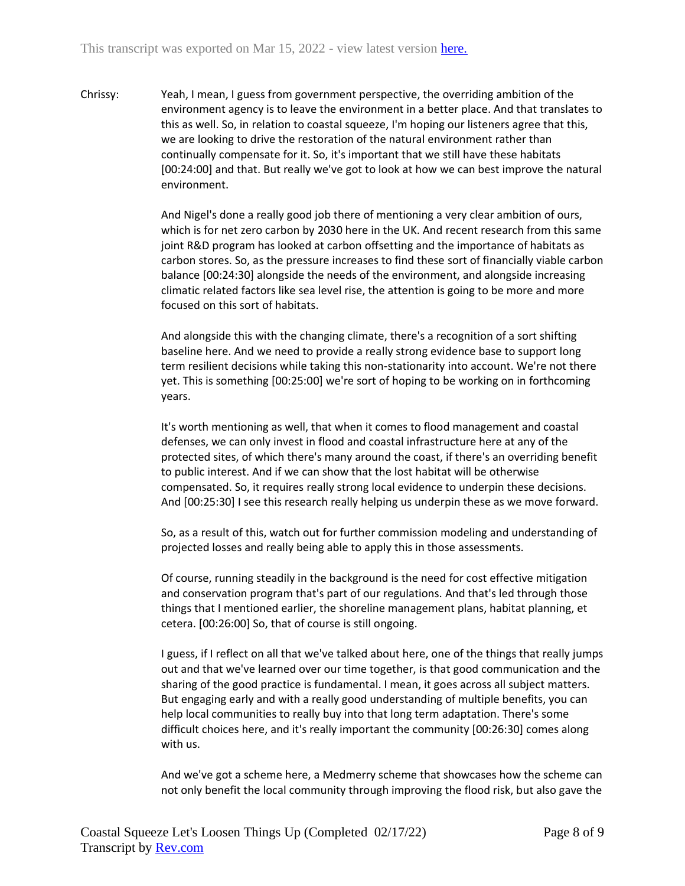Chrissy: Yeah, I mean, I guess from government perspective, the overriding ambition of the environment agency is to leave the environment in a better place. And that translates to this as well. So, in relation to coastal squeeze, I'm hoping our listeners agree that this, we are looking to drive the restoration of the natural environment rather than continually compensate for it. So, it's important that we still have these habitats [00:24:00] and that. But really we've got to look at how we can best improve the natural environment.

> And Nigel's done a really good job there of mentioning a very clear ambition of ours, which is for net zero carbon by 2030 here in the UK. And recent research from this same joint R&D program has looked at carbon offsetting and the importance of habitats as carbon stores. So, as the pressure increases to find these sort of financially viable carbon balance [00:24:30] alongside the needs of the environment, and alongside increasing climatic related factors like sea level rise, the attention is going to be more and more focused on this sort of habitats.

And alongside this with the changing climate, there's a recognition of a sort shifting baseline here. And we need to provide a really strong evidence base to support long term resilient decisions while taking this non-stationarity into account. We're not there yet. This is something [00:25:00] we're sort of hoping to be working on in forthcoming years.

It's worth mentioning as well, that when it comes to flood management and coastal defenses, we can only invest in flood and coastal infrastructure here at any of the protected sites, of which there's many around the coast, if there's an overriding benefit to public interest. And if we can show that the lost habitat will be otherwise compensated. So, it requires really strong local evidence to underpin these decisions. And [00:25:30] I see this research really helping us underpin these as we move forward.

So, as a result of this, watch out for further commission modeling and understanding of projected losses and really being able to apply this in those assessments.

Of course, running steadily in the background is the need for cost effective mitigation and conservation program that's part of our regulations. And that's led through those things that I mentioned earlier, the shoreline management plans, habitat planning, et cetera. [00:26:00] So, that of course is still ongoing.

I guess, if I reflect on all that we've talked about here, one of the things that really jumps out and that we've learned over our time together, is that good communication and the sharing of the good practice is fundamental. I mean, it goes across all subject matters. But engaging early and with a really good understanding of multiple benefits, you can help local communities to really buy into that long term adaptation. There's some difficult choices here, and it's really important the community [00:26:30] comes along with us.

And we've got a scheme here, a Medmerry scheme that showcases how the scheme can not only benefit the local community through improving the flood risk, but also gave the